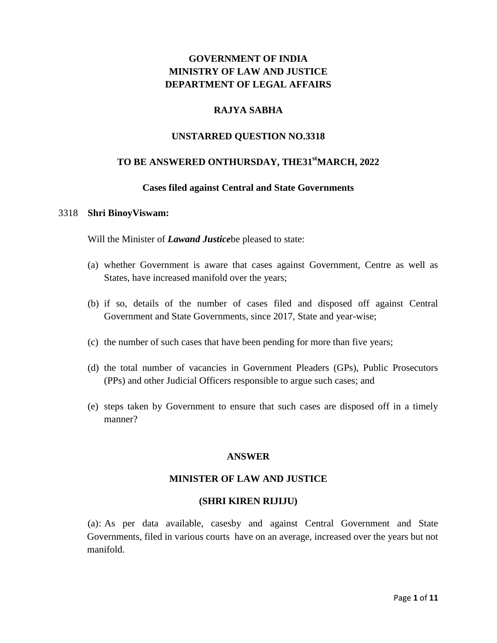## **GOVERNMENT OF INDIA MINISTRY OF LAW AND JUSTICE DEPARTMENT OF LEGAL AFFAIRS**

## **RAJYA SABHA**

## **UNSTARRED QUESTION NO.3318**

## **TO BE ANSWERED ONTHURSDAY, THE31stMARCH, 2022**

#### **Cases filed against Central and State Governments**

#### 3318 **Shri BinoyViswam:**

Will the Minister of *Lawand Justice*be pleased to state:

- (a) whether Government is aware that cases against Government, Centre as well as States, have increased manifold over the years;
- (b) if so, details of the number of cases filed and disposed off against Central Government and State Governments, since 2017, State and year-wise;
- (c) the number of such cases that have been pending for more than five years;
- (d) the total number of vacancies in Government Pleaders (GPs), Public Prosecutors (PPs) and other Judicial Officers responsible to argue such cases; and
- (e) steps taken by Government to ensure that such cases are disposed off in a timely manner?

#### **ANSWER**

#### **MINISTER OF LAW AND JUSTICE**

#### **(SHRI KIREN RIJIJU)**

(a): As per data available, casesby and against Central Government and State Governments, filed in various courts have on an average, increased over the years but not manifold.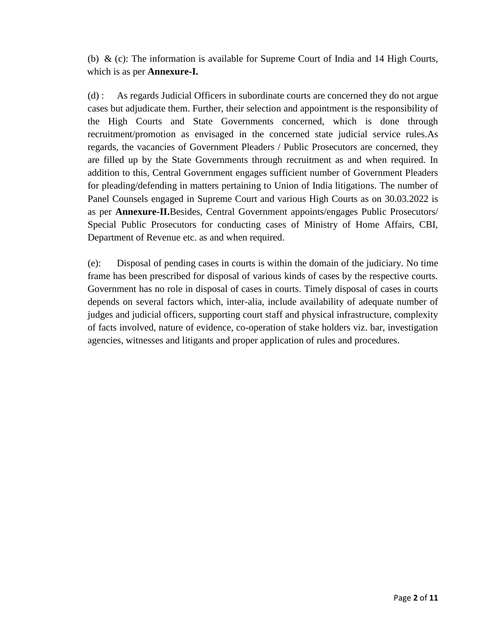(b)  $\&$  (c): The information is available for Supreme Court of India and 14 High Courts, which is as per **Annexure-I.**

(d) : As regards Judicial Officers in subordinate courts are concerned they do not argue cases but adjudicate them. Further, their selection and appointment is the responsibility of the High Courts and State Governments concerned, which is done through recruitment/promotion as envisaged in the concerned state judicial service rules.As regards, the vacancies of Government Pleaders / Public Prosecutors are concerned, they are filled up by the State Governments through recruitment as and when required. In addition to this, Central Government engages sufficient number of Government Pleaders for pleading/defending in matters pertaining to Union of India litigations. The number of Panel Counsels engaged in Supreme Court and various High Courts as on 30.03.2022 is as per **Annexure-II.**Besides, Central Government appoints/engages Public Prosecutors/ Special Public Prosecutors for conducting cases of Ministry of Home Affairs, CBI, Department of Revenue etc. as and when required.

(e): Disposal of pending cases in courts is within the domain of the judiciary. No time frame has been prescribed for disposal of various kinds of cases by the respective courts. Government has no role in disposal of cases in courts. Timely disposal of cases in courts depends on several factors which, inter-alia, include availability of adequate number of judges and judicial officers, supporting court staff and physical infrastructure, complexity of facts involved, nature of evidence, co-operation of stake holders viz. bar, investigation agencies, witnesses and litigants and proper application of rules and procedures.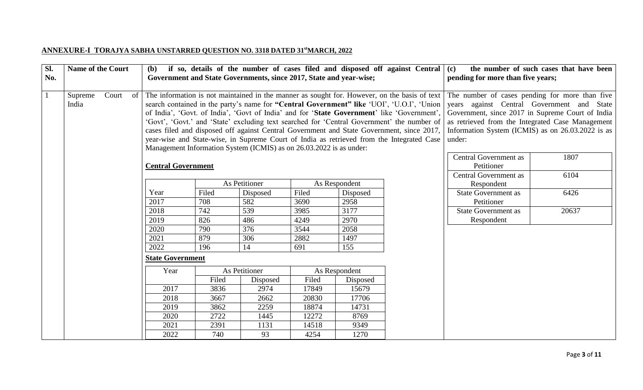# **ANNEXURE-I TORAJYA SABHA UNSTARRED QUESTION NO. 3318 DATED 31stMARCH, 2022**

| Sl.<br>No.   |                  | <b>Name of the Court</b><br>if so, details of the number of cases filed and disposed off against Central $(c)$<br>(b)<br>Government and State Governments, since 2017, State and year-wise; |                                   |                                                                                                                                                                                                                                                                                                                                                                                                                                                                                                                                                                                                                                                        |               |                                                                                                                                                                                                                                                                     |               |  | pending for more than five years;          | the number of such cases that have been |
|--------------|------------------|---------------------------------------------------------------------------------------------------------------------------------------------------------------------------------------------|-----------------------------------|--------------------------------------------------------------------------------------------------------------------------------------------------------------------------------------------------------------------------------------------------------------------------------------------------------------------------------------------------------------------------------------------------------------------------------------------------------------------------------------------------------------------------------------------------------------------------------------------------------------------------------------------------------|---------------|---------------------------------------------------------------------------------------------------------------------------------------------------------------------------------------------------------------------------------------------------------------------|---------------|--|--------------------------------------------|-----------------------------------------|
| $\mathbf{1}$ | Supreme<br>India | Court<br>- of                                                                                                                                                                               |                                   | The information is not maintained in the manner as sought for. However, on the basis of text<br>search contained in the party's name for "Central Government" like 'UOI', 'U.O.I', 'Union<br>of India', 'Govt. of India', 'Govt of India' and for 'State Government' like 'Government',<br>'Govt', 'Govt.' and 'State' excluding text searched for 'Central Government' the number of<br>cases filed and disposed off against Central Government and State Government, since 2017,<br>year-wise and State-wise, in Supreme Court of India as retrieved from the Integrated Case<br>Management Information System (ICMIS) as on 26.03.2022 is as under: |               | The number of cases pending for more than five<br>years against Central Government and State<br>Government, since 2017 in Supreme Court of India<br>as retrieved from the Integrated Case Management<br>Information System (ICMIS) as on 26.03.2022 is as<br>under: |               |  |                                            |                                         |
|              |                  |                                                                                                                                                                                             | <b>Central Government</b>         |                                                                                                                                                                                                                                                                                                                                                                                                                                                                                                                                                                                                                                                        |               |                                                                                                                                                                                                                                                                     |               |  | <b>Central Government as</b><br>Petitioner | 1807                                    |
|              |                  |                                                                                                                                                                                             |                                   |                                                                                                                                                                                                                                                                                                                                                                                                                                                                                                                                                                                                                                                        | As Petitioner |                                                                                                                                                                                                                                                                     | As Respondent |  | <b>Central Government as</b><br>Respondent | 6104                                    |
|              |                  |                                                                                                                                                                                             | Year                              | Filed                                                                                                                                                                                                                                                                                                                                                                                                                                                                                                                                                                                                                                                  | Disposed      | Filed                                                                                                                                                                                                                                                               | Disposed      |  | <b>State Government as</b>                 | 6426                                    |
|              |                  |                                                                                                                                                                                             | 2017                              | 708                                                                                                                                                                                                                                                                                                                                                                                                                                                                                                                                                                                                                                                    | 582           | 3690                                                                                                                                                                                                                                                                | 2958          |  | Petitioner                                 |                                         |
|              |                  |                                                                                                                                                                                             | 2018                              | 742                                                                                                                                                                                                                                                                                                                                                                                                                                                                                                                                                                                                                                                    | 539           | 3985                                                                                                                                                                                                                                                                | 3177          |  | <b>State Government as</b>                 | 20637                                   |
|              |                  |                                                                                                                                                                                             | 2019                              | 826                                                                                                                                                                                                                                                                                                                                                                                                                                                                                                                                                                                                                                                    | 486           | 4249                                                                                                                                                                                                                                                                | 2970          |  | Respondent                                 |                                         |
|              |                  |                                                                                                                                                                                             | 2020                              | 790                                                                                                                                                                                                                                                                                                                                                                                                                                                                                                                                                                                                                                                    | 376           | 3544                                                                                                                                                                                                                                                                | 2058          |  |                                            |                                         |
|              |                  |                                                                                                                                                                                             | 2021                              | 879                                                                                                                                                                                                                                                                                                                                                                                                                                                                                                                                                                                                                                                    | 306           | 2882                                                                                                                                                                                                                                                                | 1497          |  |                                            |                                         |
|              |                  |                                                                                                                                                                                             | 2022                              | 196                                                                                                                                                                                                                                                                                                                                                                                                                                                                                                                                                                                                                                                    | 14            | 691                                                                                                                                                                                                                                                                 | 155           |  |                                            |                                         |
|              |                  |                                                                                                                                                                                             | <b>State Government</b>           |                                                                                                                                                                                                                                                                                                                                                                                                                                                                                                                                                                                                                                                        |               |                                                                                                                                                                                                                                                                     |               |  |                                            |                                         |
|              |                  |                                                                                                                                                                                             | As Petitioner<br>Year             |                                                                                                                                                                                                                                                                                                                                                                                                                                                                                                                                                                                                                                                        |               | As Respondent                                                                                                                                                                                                                                                       |               |  |                                            |                                         |
|              |                  |                                                                                                                                                                                             |                                   | Filed                                                                                                                                                                                                                                                                                                                                                                                                                                                                                                                                                                                                                                                  | Disposed      | Filed                                                                                                                                                                                                                                                               | Disposed      |  |                                            |                                         |
|              |                  |                                                                                                                                                                                             | 2017                              | 3836                                                                                                                                                                                                                                                                                                                                                                                                                                                                                                                                                                                                                                                   | 2974          | 17849                                                                                                                                                                                                                                                               | 15679         |  |                                            |                                         |
|              |                  |                                                                                                                                                                                             |                                   | 2018<br>3667<br>2662                                                                                                                                                                                                                                                                                                                                                                                                                                                                                                                                                                                                                                   |               | 20830                                                                                                                                                                                                                                                               | 17706         |  |                                            |                                         |
|              |                  |                                                                                                                                                                                             |                                   | 2019<br>3862<br>2259<br>18874<br>14731                                                                                                                                                                                                                                                                                                                                                                                                                                                                                                                                                                                                                 |               |                                                                                                                                                                                                                                                                     |               |  |                                            |                                         |
|              |                  |                                                                                                                                                                                             | 2020                              | 2722                                                                                                                                                                                                                                                                                                                                                                                                                                                                                                                                                                                                                                                   | 1445          | 12272                                                                                                                                                                                                                                                               | 8769          |  |                                            |                                         |
|              |                  |                                                                                                                                                                                             | 2021                              | 2391                                                                                                                                                                                                                                                                                                                                                                                                                                                                                                                                                                                                                                                   | 1131          | 14518                                                                                                                                                                                                                                                               | 9349          |  |                                            |                                         |
|              |                  |                                                                                                                                                                                             | 93<br>2022<br>740<br>4254<br>1270 |                                                                                                                                                                                                                                                                                                                                                                                                                                                                                                                                                                                                                                                        |               |                                                                                                                                                                                                                                                                     |               |  |                                            |                                         |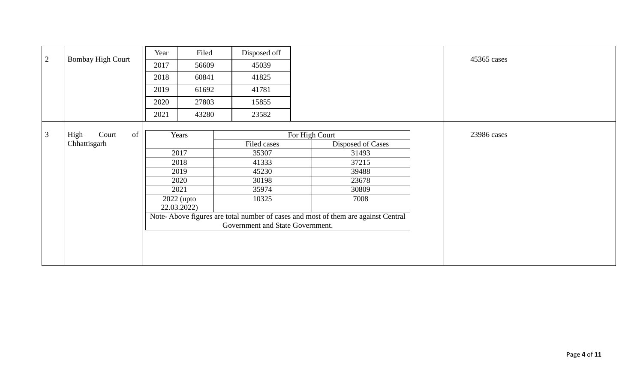|                | <b>Bombay High Court</b><br>2                                                                                         |              | Filed        | Disposed off |                   |             |
|----------------|-----------------------------------------------------------------------------------------------------------------------|--------------|--------------|--------------|-------------------|-------------|
|                |                                                                                                                       |              | 56609        | 45039        |                   | 45365 cases |
|                |                                                                                                                       | 2018         | 60841        | 41825        |                   |             |
|                |                                                                                                                       | 2019         | 61692        | 41781        |                   |             |
|                |                                                                                                                       | 2020         | 27803        | 15855        |                   |             |
|                |                                                                                                                       | 2021         | 43280        | 23582        |                   |             |
|                |                                                                                                                       |              |              |              |                   |             |
| $\mathfrak{Z}$ | Court<br>High<br>of                                                                                                   |              | Years        |              | For High Court    | 23986 cases |
|                | Chhattisgarh                                                                                                          |              |              | Filed cases  | Disposed of Cases |             |
|                |                                                                                                                       | 2017         |              | 35307        | 31493             |             |
|                |                                                                                                                       |              | 2018         | 41333        | 37215             |             |
|                |                                                                                                                       | 2019<br>2020 |              | 45230        | 39488             |             |
|                |                                                                                                                       |              |              | 30198        | 23678             |             |
|                |                                                                                                                       |              | 2021         | 35974        | 30809             |             |
|                |                                                                                                                       |              | $2022$ (upto | 10325        | 7008              |             |
|                |                                                                                                                       |              | 22.03.2022)  |              |                   |             |
|                | Note-Above figures are total number of cases and most of them are against Central<br>Government and State Government. |              |              |              |                   |             |
|                |                                                                                                                       |              |              |              |                   |             |
|                |                                                                                                                       |              |              |              |                   |             |
|                |                                                                                                                       |              |              |              |                   |             |
|                |                                                                                                                       |              |              |              |                   |             |
|                |                                                                                                                       |              |              |              |                   |             |
|                |                                                                                                                       |              |              |              |                   |             |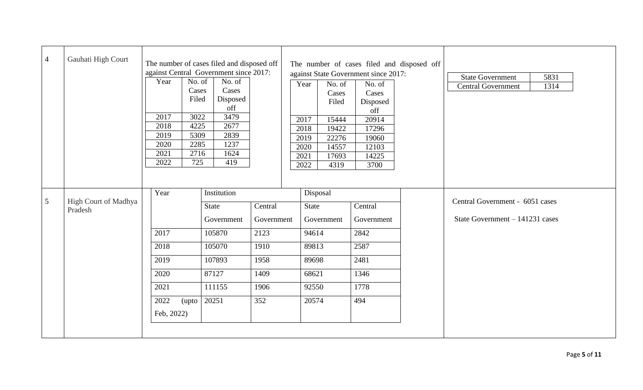| $\overline{4}$ | Gauhati High Court              | The number of cases filed and disposed off<br>against Central Government since 2017:<br>Year<br>No. of<br>No. of<br>Cases<br>Cases<br>Filed<br>Disposed<br>off<br>2017<br>3022<br>3479<br>2018<br>4225<br>2677<br>2019<br>2839<br>5309<br>2020<br>2285<br>1237<br>2021<br>2716<br>1624<br>2022<br>725<br>419 | The number of cases filed and disposed off<br>against State Government since 2017:<br>No. of<br>Year<br>No. of<br>Cases<br>Cases<br>Filed<br>Disposed<br>off<br>20914<br>2017<br>15444<br>2018<br>19422<br>17296<br>2019<br>22276<br>19060<br>14557<br>12103<br>2020<br>2021<br>14225<br>17693<br>4319<br>3700<br>2022 | <b>State Government</b><br>5831<br><b>Central Government</b><br>1314 |
|----------------|---------------------------------|--------------------------------------------------------------------------------------------------------------------------------------------------------------------------------------------------------------------------------------------------------------------------------------------------------------|------------------------------------------------------------------------------------------------------------------------------------------------------------------------------------------------------------------------------------------------------------------------------------------------------------------------|----------------------------------------------------------------------|
| 5              | High Court of Madhya<br>Pradesh | Year<br>Institution<br>Central<br>State<br>Government<br>Government<br>2017<br>105870<br>2123<br>2018<br>105070<br>1910<br>2019<br>1958<br>107893<br>2020<br>87127<br>1409<br>2021<br>111155<br>1906<br>2022<br>20251<br>352<br>(upto<br>Feb, 2022)                                                          | Disposal<br>State<br>Central<br>Government<br>Government<br>2842<br>94614<br>89813<br>2587<br>2481<br>89698<br>68621<br>1346<br>92550<br>1778<br>20574<br>494                                                                                                                                                          | Central Government - 6051 cases<br>State Government $-141231$ cases  |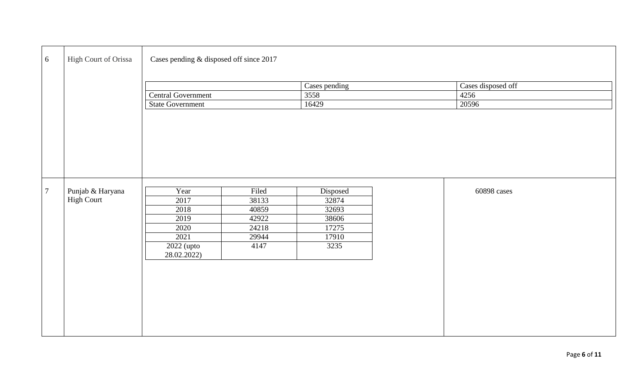| 6      | High Court of Orissa | Cases pending & disposed off since 2017 |       |               |  |                    |  |  |
|--------|----------------------|-----------------------------------------|-------|---------------|--|--------------------|--|--|
|        |                      |                                         |       | Cases pending |  | Cases disposed off |  |  |
|        |                      | Central Government                      |       | 3558          |  | 4256               |  |  |
|        |                      | <b>State Government</b>                 |       | 16429         |  | 20596              |  |  |
|        |                      |                                         |       |               |  |                    |  |  |
| $\tau$ | Punjab & Haryana     | Year                                    | Filed | Disposed      |  | 60898 cases        |  |  |
|        | <b>High Court</b>    | 2017                                    | 38133 | 32874         |  |                    |  |  |
|        |                      | 2018                                    | 40859 | 32693         |  |                    |  |  |
|        |                      | 2019                                    | 42922 | 38606         |  |                    |  |  |
|        |                      | 2020                                    | 24218 | 17275         |  |                    |  |  |
|        |                      | 2021                                    | 29944 | 17910         |  |                    |  |  |
|        |                      | 2022 (upto<br>28.02.2022)               | 4147  | 3235          |  |                    |  |  |
|        |                      |                                         |       |               |  |                    |  |  |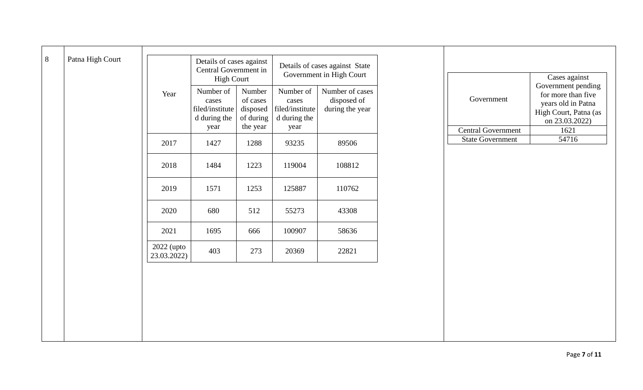| $8\,$ | Patna High Court |                           | Details of cases against<br>Central Government in<br><b>High Court</b> |                                                         | Details of cases against State<br>Government in High Court    |                                                   |                           | Cases against                                                                                             |
|-------|------------------|---------------------------|------------------------------------------------------------------------|---------------------------------------------------------|---------------------------------------------------------------|---------------------------------------------------|---------------------------|-----------------------------------------------------------------------------------------------------------|
|       |                  | Year                      | Number of<br>cases<br>filed/institute<br>d during the<br>year          | Number<br>of cases<br>disposed<br>of during<br>the year | Number of<br>cases<br>filed/institute<br>d during the<br>year | Number of cases<br>disposed of<br>during the year | Government                | Government pending<br>for more than five<br>years old in Patna<br>High Court, Patna (as<br>on 23.03.2022) |
|       |                  |                           |                                                                        |                                                         |                                                               |                                                   | <b>Central Government</b> | 1621                                                                                                      |
|       |                  | 2017                      | 1427                                                                   | 1288                                                    | 93235                                                         | 89506                                             | <b>State Government</b>   | 54716                                                                                                     |
|       |                  | 2018                      | 1484                                                                   | 1223                                                    | 119004                                                        | 108812                                            |                           |                                                                                                           |
|       |                  | 2019                      | 1571                                                                   | 1253                                                    | 125887                                                        | 110762                                            |                           |                                                                                                           |
|       |                  | 2020                      | 680                                                                    | 512                                                     | 55273                                                         | 43308                                             |                           |                                                                                                           |
|       |                  | 2021                      | 1695                                                                   | 666                                                     | 100907                                                        | 58636                                             |                           |                                                                                                           |
|       |                  | 2022 (upto<br>23.03.2022) | 403                                                                    | 273                                                     | 20369                                                         | 22821                                             |                           |                                                                                                           |
|       |                  |                           |                                                                        |                                                         |                                                               |                                                   |                           |                                                                                                           |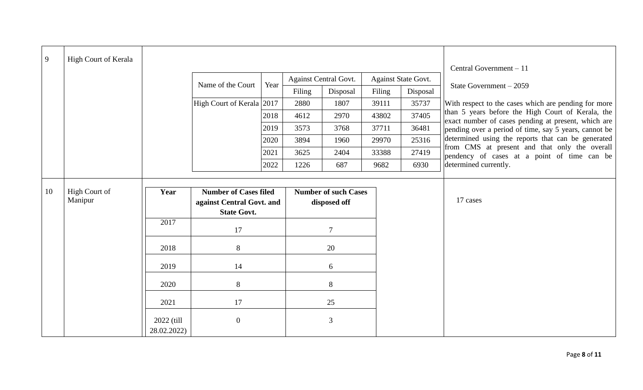| 9  | High Court of Kerala |                                      |                           |      |        |                             |        |                            |                                                                                                           |
|----|----------------------|--------------------------------------|---------------------------|------|--------|-----------------------------|--------|----------------------------|-----------------------------------------------------------------------------------------------------------|
|    |                      |                                      |                           |      |        | Against Central Govt.       |        | <b>Against State Govt.</b> | Central Government - 11                                                                                   |
|    |                      |                                      | Name of the Court         | Year | Filing |                             | Filing |                            | State Government - 2059                                                                                   |
|    |                      |                                      |                           |      |        | Disposal                    |        | Disposal                   |                                                                                                           |
|    |                      |                                      | High Court of Kerala 2017 |      | 2880   | 1807                        | 39111  | 35737                      | With respect to the cases which are pending for more<br>than 5 years before the High Court of Kerala, the |
|    |                      |                                      |                           | 2018 | 4612   | 2970                        | 43802  | 37405                      | exact number of cases pending at present, which are                                                       |
|    |                      |                                      |                           | 2019 | 3573   | 3768                        | 37711  | 36481                      | pending over a period of time, say 5 years, cannot be                                                     |
|    |                      |                                      |                           | 2020 | 3894   | 1960                        | 29970  | 25316                      | determined using the reports that can be generated<br>from CMS at present and that only the overall       |
|    |                      |                                      |                           | 2021 | 3625   | 2404                        | 33388  | 27419                      | pendency of cases at a point of time can be                                                               |
|    |                      |                                      |                           | 2022 | 1226   | 687                         | 9682   | 6930                       | determined currently.                                                                                     |
|    |                      |                                      |                           |      |        |                             |        |                            |                                                                                                           |
| 10 | High Court of        | <b>Number of Cases filed</b><br>Year |                           |      |        | <b>Number of such Cases</b> |        |                            |                                                                                                           |
|    | Manipur              |                                      | against Central Govt. and |      |        | disposed off                |        |                            | 17 cases                                                                                                  |
|    |                      |                                      | <b>State Govt.</b>        |      |        |                             |        |                            |                                                                                                           |
|    |                      | 2017                                 | 17                        |      |        | $\overline{7}$              |        |                            |                                                                                                           |
|    |                      | 2018                                 | $8\,$                     |      |        | 20                          |        |                            |                                                                                                           |
|    |                      | 2019                                 | 14                        |      |        | 6                           |        |                            |                                                                                                           |
|    |                      | 2020                                 | 8                         |      |        | 8                           |        |                            |                                                                                                           |
|    |                      | 2021                                 | 17                        |      |        | 25                          |        |                            |                                                                                                           |
|    |                      | 2022 (till<br>28.02.2022)            | $\overline{0}$            |      |        | 3                           |        |                            |                                                                                                           |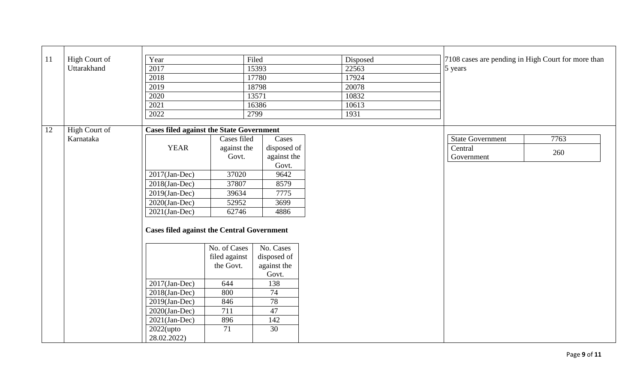| 11 | High Court of | Year                                              |               | Filed       | Disposed | 7108 cases are pending in High Court for more than |  |
|----|---------------|---------------------------------------------------|---------------|-------------|----------|----------------------------------------------------|--|
|    | Uttarakhand   | 2017                                              |               | 15393       | 22563    | 5 years                                            |  |
|    |               | 2018                                              |               | 17780       | 17924    |                                                    |  |
|    |               | 2019                                              |               | 18798       | 20078    |                                                    |  |
|    |               | 2020                                              |               | 13571       | 10832    |                                                    |  |
|    |               | 2021                                              |               | 16386       | 10613    |                                                    |  |
|    |               | 2022                                              |               | 2799        | 1931     |                                                    |  |
| 12 | High Court of | <b>Cases filed against the State Government</b>   |               |             |          |                                                    |  |
|    | Karnataka     |                                                   | Cases filed   | Cases       |          | 7763<br><b>State Government</b>                    |  |
|    |               | <b>YEAR</b>                                       | against the   | disposed of |          | Central                                            |  |
|    |               |                                                   | Govt.         | against the |          | 260<br>Government                                  |  |
|    |               |                                                   |               | Govt.       |          |                                                    |  |
|    |               | $2017$ (Jan-Dec)                                  | 37020         | 9642        |          |                                                    |  |
|    |               | $2018$ (Jan-Dec)                                  | 37807         | 8579        |          |                                                    |  |
|    |               | $2019$ (Jan-Dec)                                  | 39634         | 7775        |          |                                                    |  |
|    |               | $2020$ (Jan-Dec)                                  | 52952         | 3699        |          |                                                    |  |
|    |               | $2021$ (Jan-Dec)                                  | 62746         | 4886        |          |                                                    |  |
|    |               | <b>Cases filed against the Central Government</b> |               |             |          |                                                    |  |
|    |               |                                                   | No. of Cases  | No. Cases   |          |                                                    |  |
|    |               |                                                   | filed against | disposed of |          |                                                    |  |
|    |               |                                                   | the Govt.     | against the |          |                                                    |  |
|    |               |                                                   |               | Govt.       |          |                                                    |  |
|    |               | $2017$ (Jan-Dec)                                  | 644           | 138         |          |                                                    |  |
|    |               | $2018$ (Jan-Dec)                                  | 800           | 74          |          |                                                    |  |
|    |               | $2019$ (Jan-Dec)                                  | 846           | 78          |          |                                                    |  |
|    |               | $2020$ (Jan-Dec)                                  | 711           | 47          |          |                                                    |  |
|    |               | $2021$ (Jan-Dec)                                  | 896           | 142         |          |                                                    |  |
|    |               | $2022$ (upto                                      | 71            | 30          |          |                                                    |  |
|    |               | 28.02.2022)                                       |               |             |          |                                                    |  |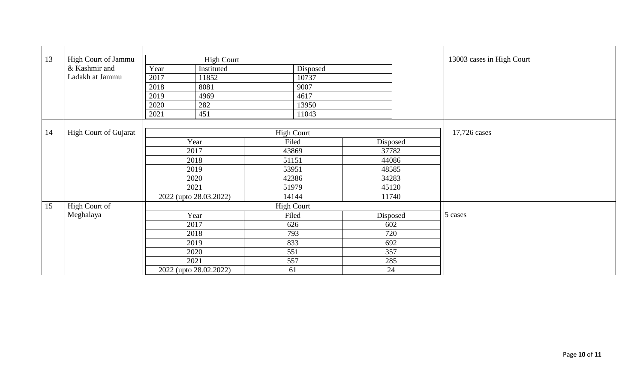| 13 | High Court of Jammu   |      | <b>High Court</b>      |                   |          |          | 13003 cases in High Court |  |  |
|----|-----------------------|------|------------------------|-------------------|----------|----------|---------------------------|--|--|
|    | & Kashmir and         | Year | Instituted             | Disposed          |          |          |                           |  |  |
|    | Ladakh at Jammu       | 2017 | 11852                  | 10737             |          |          |                           |  |  |
|    |                       | 2018 | 8081                   | 9007              |          |          |                           |  |  |
|    |                       | 2019 | 4969                   | 4617              |          |          |                           |  |  |
|    |                       | 2020 | 282                    | 13950             |          |          |                           |  |  |
|    |                       | 2021 | 451                    | 11043             |          |          |                           |  |  |
|    |                       |      |                        |                   |          |          |                           |  |  |
| 14 | High Court of Gujarat |      |                        | <b>High Court</b> |          |          | 17,726 cases              |  |  |
|    |                       |      | Year                   | Filed             |          | Disposed |                           |  |  |
|    |                       |      | 2017                   | 43869             |          | 37782    |                           |  |  |
|    |                       |      | 2018                   | 51151             |          | 44086    |                           |  |  |
|    |                       |      | 2019                   | 53951             |          | 48585    |                           |  |  |
|    |                       |      | 2020                   | 42386             |          | 34283    |                           |  |  |
|    |                       |      | 2021                   | 51979             |          | 45120    |                           |  |  |
|    |                       |      | 2022 (upto 28.03.2022) | 14144             |          | 11740    |                           |  |  |
| 15 | High Court of         |      |                        | <b>High Court</b> |          |          |                           |  |  |
|    | Meghalaya             |      | Year                   | Filed             | Disposed |          | 5 cases                   |  |  |
|    |                       |      | 2017                   | 626               | 602      |          |                           |  |  |
|    |                       |      | 2018                   | 793               |          | 720      |                           |  |  |
|    |                       |      | 2019                   | 833               | 692      |          |                           |  |  |
|    |                       |      | 2020                   | 551               | 357      |          |                           |  |  |
|    |                       |      | 2021                   | 557               | 285      |          |                           |  |  |
|    |                       |      | 2022 (upto 28.02.2022) | 61                | 24       |          |                           |  |  |